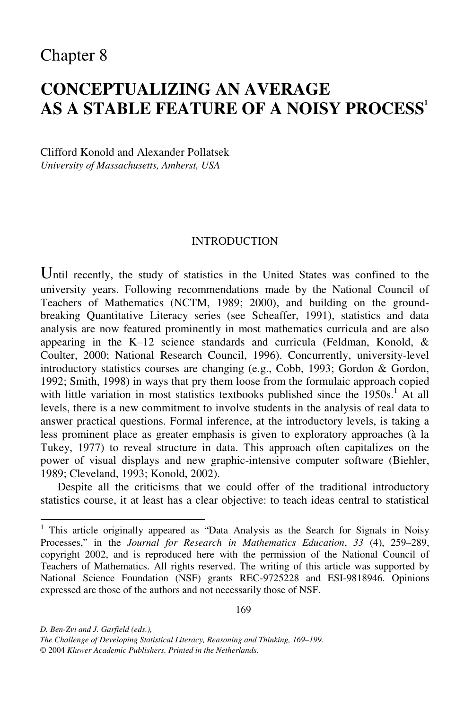## Chapter 8

# **CONCEPTUALIZING AN AVERAGE AS A STABLE FEATURE OF A NOISY PROCESS<sup>1</sup>**

Clifford Konold and Alexander Pollatsek *University of Massachusetts, Amherst, USA*

## INTRODUCTION

Until recently, the study of statistics in the United States was confined to the university years. Following recommendations made by the National Council of Teachers of Mathematics (NCTM, 1989; 2000), and building on the groundbreaking Quantitative Literacy series (see Scheaffer, 1991), statistics and data analysis are now featured prominently in most mathematics curricula and are also appearing in the K–12 science standards and curricula (Feldman, Konold,  $\&$ Coulter, 2000; National Research Council, 1996). Concurrently, university-level introductory statistics courses are changing (e.g., Cobb, 1993; Gordon & Gordon, 1992; Smith, 1998) in ways that pry them loose from the formulaic approach copied with little variation in most statistics textbooks published since the  $1950s<sup>1</sup>$  At all levels, there is a new commitment to involve students in the analysis of real data to answer practical questions. Formal inference, at the introductory levels, is taking a less prominent place as greater emphasis is given to exploratory approaches (à la Tukey, 1977) to reveal structure in data. This approach often capitalizes on the power of visual displays and new graphic-intensive computer software (Biehler, 1989; Cleveland, 1993; Konold, 2002).

Despite all the criticisms that we could offer of the traditional introductory statistics course, it at least has a clear objective: to teach ideas central to statistical

*D. Ben-Zvi and J. Garfield (eds.),* 

<sup>1</sup> This article originally appeared as "Data Analysis as the Search for Signals in Noisy Processes," in the *Journal for Research in Mathematics Education*, *33* (4), 259–289, copyright 2002, and is reproduced here with the permission of the National Council of Teachers of Mathematics. All rights reserved. The writing of this article was supported by National Science Foundation (NSF) grants REC-9725228 and ESI-9818946. Opinions expressed are those of the authors and not necessarily those of NSF.

<sup>© 2004</sup> *Kluwer Academic Publishers. Printed in the Netherlands. The Challenge of Developing Statistical Literacy, Reasoning and Thinking, 169–199.*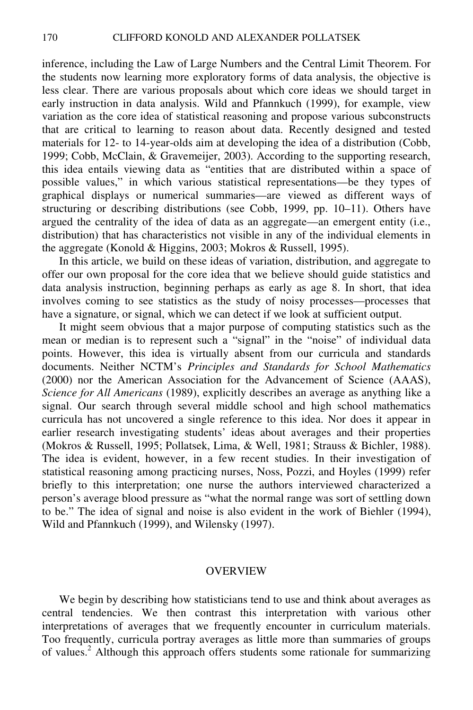inference, including the Law of Large Numbers and the Central Limit Theorem. For the students now learning more exploratory forms of data analysis, the objective is less clear. There are various proposals about which core ideas we should target in early instruction in data analysis. Wild and Pfannkuch (1999), for example, view variation as the core idea of statistical reasoning and propose various subconstructs that are critical to learning to reason about data. Recently designed and tested materials for 12- to 14-year-olds aim at developing the idea of a distribution (Cobb, 1999; Cobb, McClain, & Gravemeijer, 2003). According to the supporting research, this idea entails viewing data as "entities that are distributed within a space of possible values," in which various statistical representations—be they types of graphical displays or numerical summaries—are viewed as different ways of structuring or describing distributions (see Cobb, 1999, pp. 10–11). Others have argued the centrality of the idea of data as an aggregate—an emergent entity (i.e., distribution) that has characteristics not visible in any of the individual elements in the aggregate (Konold & Higgins, 2003; Mokros & Russell, 1995).

In this article, we build on these ideas of variation, distribution, and aggregate to offer our own proposal for the core idea that we believe should guide statistics and data analysis instruction, beginning perhaps as early as age 8. In short, that idea involves coming to see statistics as the study of noisy processes—processes that have a signature, or signal, which we can detect if we look at sufficient output.

It might seem obvious that a major purpose of computing statistics such as the mean or median is to represent such a "signal" in the "noise" of individual data points. However, this idea is virtually absent from our curricula and standards documents. Neither NCTM's *Principles and Standards for School Mathematics* (2000) nor the American Association for the Advancement of Science (AAAS), *Science for All Americans* (1989), explicitly describes an average as anything like a signal. Our search through several middle school and high school mathematics curricula has not uncovered a single reference to this idea. Nor does it appear in earlier research investigating students' ideas about averages and their properties (Mokros & Russell, 1995; Pollatsek, Lima, & Well, 1981; Strauss & Bichler, 1988). The idea is evident, however, in a few recent studies. In their investigation of statistical reasoning among practicing nurses, Noss, Pozzi, and Hoyles (1999) refer briefly to this interpretation; one nurse the authors interviewed characterized a person's average blood pressure as "what the normal range was sort of settling down to be." The idea of signal and noise is also evident in the work of Biehler (1994), Wild and Pfannkuch (1999), and Wilensky (1997).

## OVERVIEW

We begin by describing how statisticians tend to use and think about averages as central tendencies. We then contrast this interpretation with various other interpretations of averages that we frequently encounter in curriculum materials. Too frequently, curricula portray averages as little more than summaries of groups of values.<sup>2</sup> Although this approach offers students some rationale for summarizing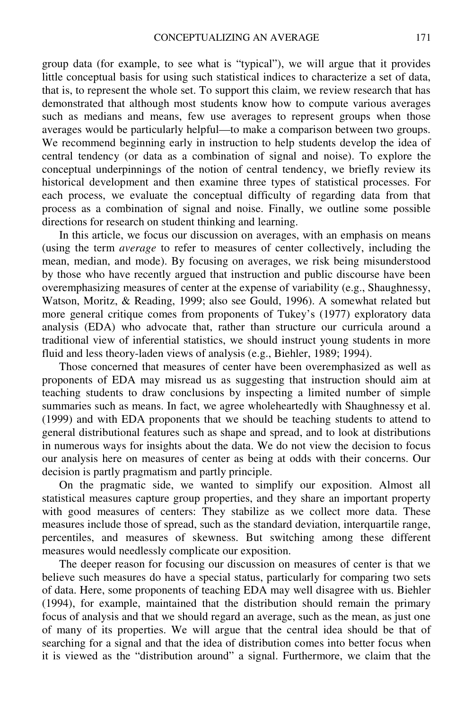group data (for example, to see what is "typical"), we will argue that it provides little conceptual basis for using such statistical indices to characterize a set of data, that is, to represent the whole set. To support this claim, we review research that has demonstrated that although most students know how to compute various averages such as medians and means, few use averages to represent groups when those averages would be particularly helpful—to make a comparison between two groups. We recommend beginning early in instruction to help students develop the idea of central tendency (or data as a combination of signal and noise). To explore the conceptual underpinnings of the notion of central tendency, we briefly review its historical development and then examine three types of statistical processes. For each process, we evaluate the conceptual difficulty of regarding data from that process as a combination of signal and noise. Finally, we outline some possible directions for research on student thinking and learning.

In this article, we focus our discussion on averages, with an emphasis on means (using the term *average* to refer to measures of center collectively, including the mean, median, and mode). By focusing on averages, we risk being misunderstood by those who have recently argued that instruction and public discourse have been overemphasizing measures of center at the expense of variability (e.g., Shaughnessy, Watson, Moritz, & Reading, 1999; also see Gould, 1996). A somewhat related but more general critique comes from proponents of Tukey's (1977) exploratory data analysis (EDA) who advocate that, rather than structure our curricula around a traditional view of inferential statistics, we should instruct young students in more fluid and less theory-laden views of analysis (e.g., Biehler, 1989; 1994).

Those concerned that measures of center have been overemphasized as well as proponents of EDA may misread us as suggesting that instruction should aim at teaching students to draw conclusions by inspecting a limited number of simple summaries such as means. In fact, we agree wholeheartedly with Shaughnessy et al. (1999) and with EDA proponents that we should be teaching students to attend to general distributional features such as shape and spread, and to look at distributions in numerous ways for insights about the data. We do not view the decision to focus our analysis here on measures of center as being at odds with their concerns. Our decision is partly pragmatism and partly principle.

On the pragmatic side, we wanted to simplify our exposition. Almost all statistical measures capture group properties, and they share an important property with good measures of centers: They stabilize as we collect more data. These measures include those of spread, such as the standard deviation, interquartile range, percentiles, and measures of skewness. But switching among these different measures would needlessly complicate our exposition.

The deeper reason for focusing our discussion on measures of center is that we believe such measures do have a special status, particularly for comparing two sets of data. Here, some proponents of teaching EDA may well disagree with us. Biehler (1994), for example, maintained that the distribution should remain the primary focus of analysis and that we should regard an average, such as the mean, as just one of many of its properties. We will argue that the central idea should be that of searching for a signal and that the idea of distribution comes into better focus when it is viewed as the "distribution around" a signal. Furthermore, we claim that the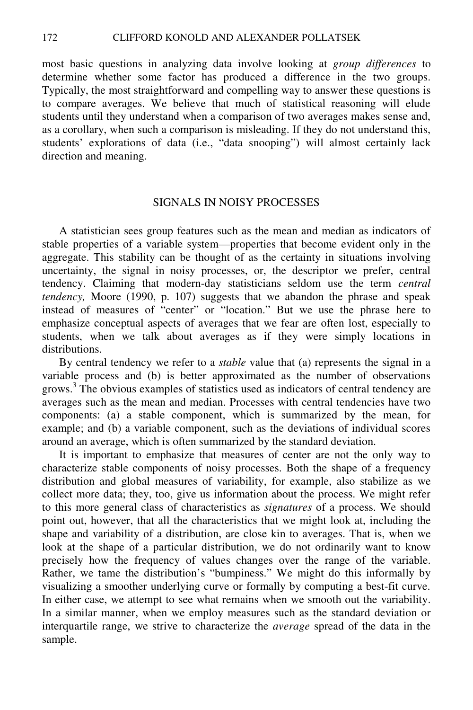most basic questions in analyzing data involve looking at *group differences* to determine whether some factor has produced a difference in the two groups. Typically, the most straightforward and compelling way to answer these questions is to compare averages. We believe that much of statistical reasoning will elude students until they understand when a comparison of two averages makes sense and, as a corollary, when such a comparison is misleading. If they do not understand this, students' explorations of data (i.e., "data snooping") will almost certainly lack direction and meaning.

## SIGNALS IN NOISY PROCESSES

A statistician sees group features such as the mean and median as indicators of stable properties of a variable system—properties that become evident only in the aggregate. This stability can be thought of as the certainty in situations involving uncertainty, the signal in noisy processes, or, the descriptor we prefer, central tendency. Claiming that modern-day statisticians seldom use the term *central tendency,* Moore (1990, p. 107) suggests that we abandon the phrase and speak instead of measures of "center" or "location." But we use the phrase here to emphasize conceptual aspects of averages that we fear are often lost, especially to students, when we talk about averages as if they were simply locations in distributions.

By central tendency we refer to a *stable* value that (a) represents the signal in a variable process and (b) is better approximated as the number of observations grows.<sup>3</sup> The obvious examples of statistics used as indicators of central tendency are averages such as the mean and median. Processes with central tendencies have two components: (a) a stable component, which is summarized by the mean, for example; and (b) a variable component, such as the deviations of individual scores around an average, which is often summarized by the standard deviation.

It is important to emphasize that measures of center are not the only way to characterize stable components of noisy processes. Both the shape of a frequency distribution and global measures of variability, for example, also stabilize as we collect more data; they, too, give us information about the process. We might refer to this more general class of characteristics as *signatures* of a process. We should point out, however, that all the characteristics that we might look at, including the shape and variability of a distribution, are close kin to averages. That is, when we look at the shape of a particular distribution, we do not ordinarily want to know precisely how the frequency of values changes over the range of the variable. Rather, we tame the distribution's "bumpiness." We might do this informally by visualizing a smoother underlying curve or formally by computing a best-fit curve. In either case, we attempt to see what remains when we smooth out the variability. In a similar manner, when we employ measures such as the standard deviation or interquartile range, we strive to characterize the *average* spread of the data in the sample.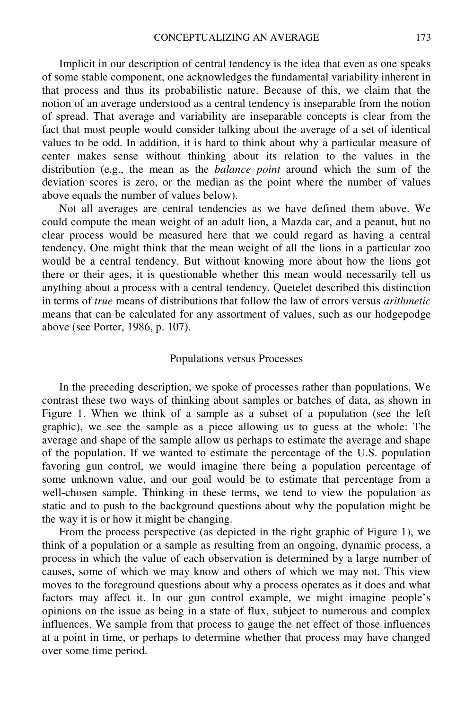Implicit in our description of central tendency is the idea that even as one speaks of some stable component, one acknowledges the fundamental variability inherent in that process and thus its probabilistic nature. Because of this, we claim that the notion of an average understood as a central tendency is inseparable from the notion of spread. That average and variability are inseparable concepts is clear from the fact that most people would consider talking about the average of a set of identical values to be odd. In addition, it is hard to think about why a particular measure of center makes sense without thinking about its relation to the values in the distribution (e.g., the mean as the *balance point* around which the sum of the deviation scores is zero, or the median as the point where the number of values above equals the number of values below).

Not all averages are central tendencies as we have defined them above. We could compute the mean weight of an adult lion, a Mazda car, and a peanut, but no clear process would be measured here that we could regard as having a central tendency. One might think that the mean weight of all the lions in a particular zoo would be a central tendency. But without knowing more about how the lions got there or their ages, it is questionable whether this mean would necessarily tell us anything about a process with a central tendency. Quetelet described this distinction in terms of *true* means of distributions that follow the law of errors versus *arithmetic* means that can be calculated for any assortment of values, such as our hodgepodge above (see Porter, 1986, p. 107).

## Populations versus Processes

In the preceding description, we spoke of processes rather than populations. We contrast these two ways of thinking about samples or batches of data, as shown in Figure 1. When we think of a sample as a subset of a population (see the left graphic), we see the sample as a piece allowing us to guess at the whole: The average and shape of the sample allow us perhaps to estimate the average and shape of the population. If we wanted to estimate the percentage of the U.S. population favoring gun control, we would imagine there being a population percentage of some unknown value, and our goal would be to estimate that percentage from a well-chosen sample. Thinking in these terms, we tend to view the population as static and to push to the background questions about why the population might be the way it is or how it might be changing.

From the process perspective (as depicted in the right graphic of Figure 1), we think of a population or a sample as resulting from an ongoing, dynamic process, a process in which the value of each observation is determined by a large number of causes, some of which we may know and others of which we may not. This view moves to the foreground questions about why a process operates as it does and what factors may affect it. In our gun control example, we might imagine people's opinions on the issue as being in a state of flux, subject to numerous and complex influences. We sample from that process to gauge the net effect of those influences at a point in time, or perhaps to determine whether that process may have changed over some time period.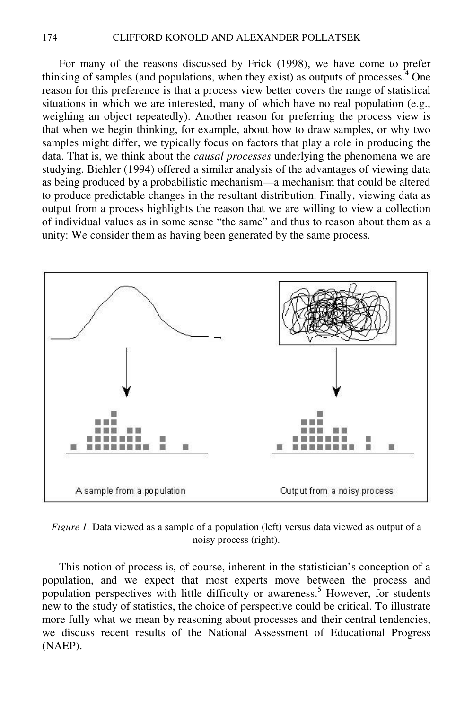For many of the reasons discussed by Frick (1998), we have come to prefer thinking of samples (and populations, when they exist) as outputs of processes.<sup>4</sup> One reason for this preference is that a process view better covers the range of statistical situations in which we are interested, many of which have no real population (e.g., weighing an object repeatedly). Another reason for preferring the process view is that when we begin thinking, for example, about how to draw samples, or why two samples might differ, we typically focus on factors that play a role in producing the data. That is, we think about the *causal processes* underlying the phenomena we are studying. Biehler (1994) offered a similar analysis of the advantages of viewing data as being produced by a probabilistic mechanism—a mechanism that could be altered to produce predictable changes in the resultant distribution. Finally, viewing data as output from a process highlights the reason that we are willing to view a collection of individual values as in some sense "the same" and thus to reason about them as a unity: We consider them as having been generated by the same process.



*Figure 1.* Data viewed as a sample of a population (left) versus data viewed as output of a noisy process (right).

This notion of process is, of course, inherent in the statistician's conception of a population, and we expect that most experts move between the process and population perspectives with little difficulty or awareness.<sup>5</sup> However, for students new to the study of statistics, the choice of perspective could be critical. To illustrate more fully what we mean by reasoning about processes and their central tendencies, we discuss recent results of the National Assessment of Educational Progress (NAEP).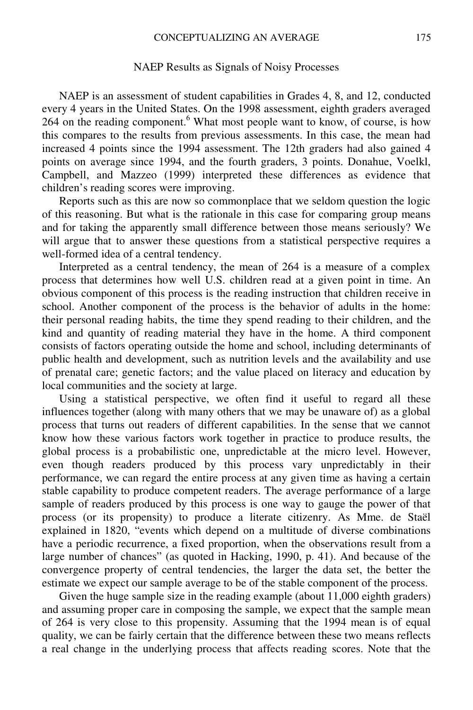#### CONCEPTUALIZING AN AVERAGE 175

## NAEP Results as Signals of Noisy Processes

NAEP is an assessment of student capabilities in Grades 4, 8, and 12, conducted every 4 years in the United States. On the 1998 assessment, eighth graders averaged 264 on the reading component.<sup>6</sup> What most people want to know, of course, is how this compares to the results from previous assessments. In this case, the mean had increased 4 points since the 1994 assessment. The 12th graders had also gained 4 points on average since 1994, and the fourth graders, 3 points. Donahue, Voelkl, Campbell, and Mazzeo (1999) interpreted these differences as evidence that children's reading scores were improving.

Reports such as this are now so commonplace that we seldom question the logic of this reasoning. But what is the rationale in this case for comparing group means and for taking the apparently small difference between those means seriously? We will argue that to answer these questions from a statistical perspective requires a well-formed idea of a central tendency.

Interpreted as a central tendency, the mean of 264 is a measure of a complex process that determines how well U.S. children read at a given point in time. An obvious component of this process is the reading instruction that children receive in school. Another component of the process is the behavior of adults in the home: their personal reading habits, the time they spend reading to their children, and the kind and quantity of reading material they have in the home. A third component consists of factors operating outside the home and school, including determinants of public health and development, such as nutrition levels and the availability and use of prenatal care; genetic factors; and the value placed on literacy and education by local communities and the society at large.

Using a statistical perspective, we often find it useful to regard all these influences together (along with many others that we may be unaware of) as a global process that turns out readers of different capabilities. In the sense that we cannot know how these various factors work together in practice to produce results, the global process is a probabilistic one, unpredictable at the micro level. However, even though readers produced by this process vary unpredictably in their performance, we can regard the entire process at any given time as having a certain stable capability to produce competent readers. The average performance of a large sample of readers produced by this process is one way to gauge the power of that process (or its propensity) to produce a literate citizenry. As Mme. de Staël explained in 1820, "events which depend on a multitude of diverse combinations have a periodic recurrence, a fixed proportion, when the observations result from a large number of chances" (as quoted in Hacking, 1990, p. 41). And because of the convergence property of central tendencies, the larger the data set, the better the estimate we expect our sample average to be of the stable component of the process.

Given the huge sample size in the reading example (about 11,000 eighth graders) and assuming proper care in composing the sample, we expect that the sample mean of 264 is very close to this propensity. Assuming that the 1994 mean is of equal quality, we can be fairly certain that the difference between these two means reflects a real change in the underlying process that affects reading scores. Note that the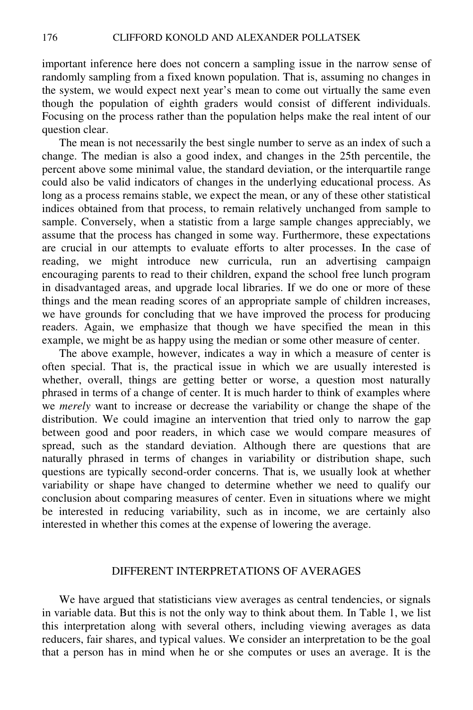important inference here does not concern a sampling issue in the narrow sense of randomly sampling from a fixed known population. That is, assuming no changes in the system, we would expect next year's mean to come out virtually the same even though the population of eighth graders would consist of different individuals. Focusing on the process rather than the population helps make the real intent of our question clear.

The mean is not necessarily the best single number to serve as an index of such a change. The median is also a good index, and changes in the 25th percentile, the percent above some minimal value, the standard deviation, or the interquartile range could also be valid indicators of changes in the underlying educational process. As long as a process remains stable, we expect the mean, or any of these other statistical indices obtained from that process, to remain relatively unchanged from sample to sample. Conversely, when a statistic from a large sample changes appreciably, we assume that the process has changed in some way. Furthermore, these expectations are crucial in our attempts to evaluate efforts to alter processes. In the case of reading, we might introduce new curricula, run an advertising campaign encouraging parents to read to their children, expand the school free lunch program in disadvantaged areas, and upgrade local libraries. If we do one or more of these things and the mean reading scores of an appropriate sample of children increases, we have grounds for concluding that we have improved the process for producing readers. Again, we emphasize that though we have specified the mean in this example, we might be as happy using the median or some other measure of center.

The above example, however, indicates a way in which a measure of center is often special. That is, the practical issue in which we are usually interested is whether, overall, things are getting better or worse, a question most naturally phrased in terms of a change of center. It is much harder to think of examples where we *merely* want to increase or decrease the variability or change the shape of the distribution. We could imagine an intervention that tried only to narrow the gap between good and poor readers, in which case we would compare measures of spread, such as the standard deviation. Although there are questions that are naturally phrased in terms of changes in variability or distribution shape, such questions are typically second-order concerns. That is, we usually look at whether variability or shape have changed to determine whether we need to qualify our conclusion about comparing measures of center. Even in situations where we might be interested in reducing variability, such as in income, we are certainly also interested in whether this comes at the expense of lowering the average.

## DIFFERENT INTERPRETATIONS OF AVERAGES

We have argued that statisticians view averages as central tendencies, or signals in variable data. But this is not the only way to think about them. In Table 1, we list this interpretation along with several others, including viewing averages as data reducers, fair shares, and typical values. We consider an interpretation to be the goal that a person has in mind when he or she computes or uses an average. It is the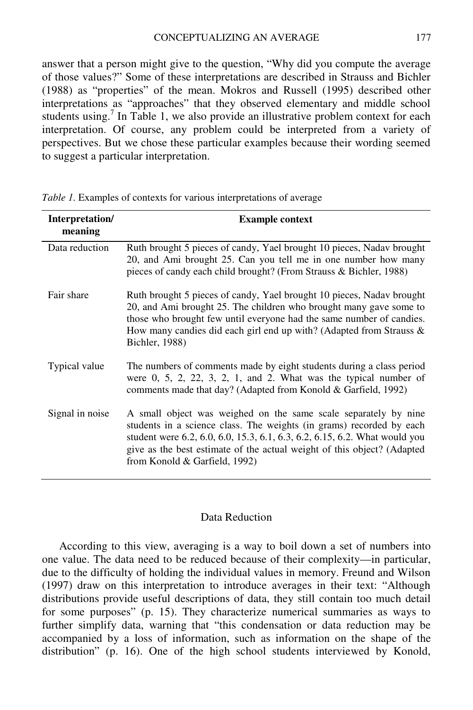answer that a person might give to the question, "Why did you compute the average of those values?" Some of these interpretations are described in Strauss and Bichler (1988) as "properties" of the mean. Mokros and Russell (1995) described other interpretations as "approaches" that they observed elementary and middle school students using.<sup>7</sup> In Table 1, we also provide an illustrative problem context for each interpretation. Of course, any problem could be interpreted from a variety of perspectives. But we chose these particular examples because their wording seemed to suggest a particular interpretation.

| Interpretation/<br>meaning | <b>Example context</b>                                                                                                                                                                                                                                                                                                            |
|----------------------------|-----------------------------------------------------------------------------------------------------------------------------------------------------------------------------------------------------------------------------------------------------------------------------------------------------------------------------------|
| Data reduction             | Ruth brought 5 pieces of candy, Yael brought 10 pieces, Nadav brought<br>20, and Ami brought 25. Can you tell me in one number how many<br>pieces of candy each child brought? (From Strauss & Bichler, 1988)                                                                                                                     |
| Fair share                 | Ruth brought 5 pieces of candy, Yael brought 10 pieces, Nadav brought<br>20, and Ami brought 25. The children who brought many gave some to<br>those who brought few until everyone had the same number of candies.<br>How many candies did each girl end up with? (Adapted from Strauss &<br>Bichler, 1988)                      |
| Typical value              | The numbers of comments made by eight students during a class period<br>were $0, 5, 2, 22, 3, 2, 1,$ and $2$ . What was the typical number of<br>comments made that day? (Adapted from Konold & Garfield, 1992)                                                                                                                   |
| Signal in noise            | A small object was weighed on the same scale separately by nine<br>students in a science class. The weights (in grams) recorded by each<br>student were 6.2, 6.0, 6.0, 15.3, 6.1, 6.3, 6.2, 6.15, 6.2. What would you<br>give as the best estimate of the actual weight of this object? (Adapted<br>from Konold & Garfield, 1992) |

*Table 1.* Examples of contexts for various interpretations of average

#### Data Reduction

According to this view, averaging is a way to boil down a set of numbers into one value. The data need to be reduced because of their complexity—in particular, due to the difficulty of holding the individual values in memory. Freund and Wilson (1997) draw on this interpretation to introduce averages in their text: "Although distributions provide useful descriptions of data, they still contain too much detail for some purposes" (p. 15). They characterize numerical summaries as ways to further simplify data, warning that "this condensation or data reduction may be accompanied by a loss of information, such as information on the shape of the distribution" (p. 16). One of the high school students interviewed by Konold,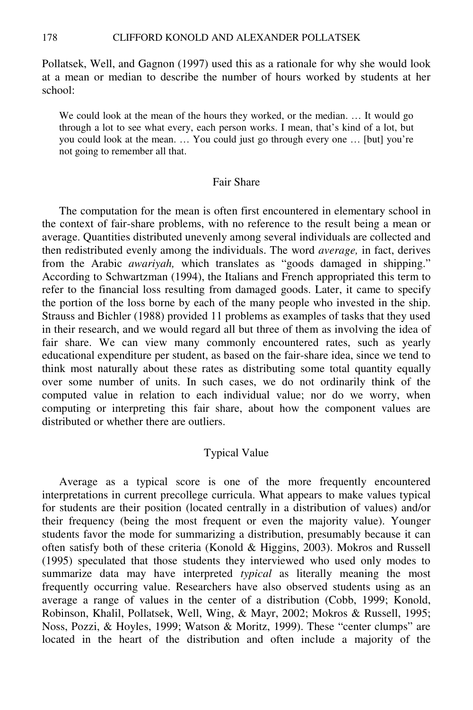Pollatsek, Well, and Gagnon (1997) used this as a rationale for why she would look at a mean or median to describe the number of hours worked by students at her school:

We could look at the mean of the hours they worked, or the median. ... It would go through a lot to see what every, each person works. I mean, that's kind of a lot, but you could look at the mean. … You could just go through every one … [but] you're not going to remember all that.

## Fair Share

The computation for the mean is often first encountered in elementary school in the context of fair-share problems, with no reference to the result being a mean or average. Quantities distributed unevenly among several individuals are collected and then redistributed evenly among the individuals. The word *average,* in fact, derives from the Arabic *awariyah,* which translates as "goods damaged in shipping." According to Schwartzman (1994), the Italians and French appropriated this term to refer to the financial loss resulting from damaged goods. Later, it came to specify the portion of the loss borne by each of the many people who invested in the ship. Strauss and Bichler (1988) provided 11 problems as examples of tasks that they used in their research, and we would regard all but three of them as involving the idea of fair share. We can view many commonly encountered rates, such as yearly educational expenditure per student, as based on the fair-share idea, since we tend to think most naturally about these rates as distributing some total quantity equally over some number of units. In such cases, we do not ordinarily think of the computed value in relation to each individual value; nor do we worry, when computing or interpreting this fair share, about how the component values are distributed or whether there are outliers.

## Typical Value

Average as a typical score is one of the more frequently encountered interpretations in current precollege curricula. What appears to make values typical for students are their position (located centrally in a distribution of values) and/or their frequency (being the most frequent or even the majority value). Younger students favor the mode for summarizing a distribution, presumably because it can often satisfy both of these criteria (Konold & Higgins, 2003). Mokros and Russell (1995) speculated that those students they interviewed who used only modes to summarize data may have interpreted *typical* as literally meaning the most frequently occurring value. Researchers have also observed students using as an average a range of values in the center of a distribution (Cobb, 1999; Konold, Robinson, Khalil, Pollatsek, Well, Wing, & Mayr, 2002; Mokros & Russell, 1995; Noss, Pozzi, & Hoyles, 1999; Watson & Moritz, 1999). These "center clumps" are located in the heart of the distribution and often include a majority of the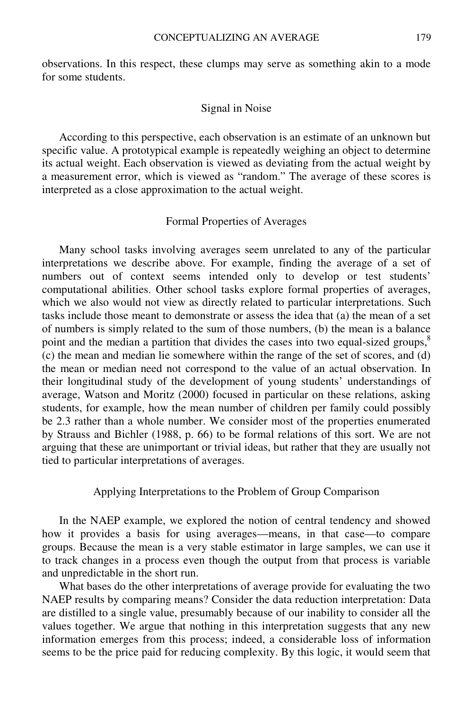observations. In this respect, these clumps may serve as something akin to a mode for some students.

## Signal in Noise

According to this perspective, each observation is an estimate of an unknown but specific value. A prototypical example is repeatedly weighing an object to determine its actual weight. Each observation is viewed as deviating from the actual weight by a measurement error, which is viewed as "random." The average of these scores is interpreted as a close approximation to the actual weight.

## Formal Properties of Averages

Many school tasks involving averages seem unrelated to any of the particular interpretations we describe above. For example, finding the average of a set of numbers out of context seems intended only to develop or test students' computational abilities. Other school tasks explore formal properties of averages, which we also would not view as directly related to particular interpretations. Such tasks include those meant to demonstrate or assess the idea that (a) the mean of a set of numbers is simply related to the sum of those numbers, (b) the mean is a balance point and the median a partition that divides the cases into two equal-sized groups,<sup>8</sup> (c) the mean and median lie somewhere within the range of the set of scores, and (d) the mean or median need not correspond to the value of an actual observation. In their longitudinal study of the development of young students' understandings of average, Watson and Moritz (2000) focused in particular on these relations, asking students, for example, how the mean number of children per family could possibly be 2.3 rather than a whole number. We consider most of the properties enumerated by Strauss and Bichler (1988, p. 66) to be formal relations of this sort. We are not arguing that these are unimportant or trivial ideas, but rather that they are usually not tied to particular interpretations of averages.

Applying Interpretations to the Problem of Group Comparison

In the NAEP example, we explored the notion of central tendency and showed how it provides a basis for using averages—means, in that case—to compare groups. Because the mean is a very stable estimator in large samples, we can use it to track changes in a process even though the output from that process is variable and unpredictable in the short run.

What bases do the other interpretations of average provide for evaluating the two NAEP results by comparing means? Consider the data reduction interpretation: Data are distilled to a single value, presumably because of our inability to consider all the values together. We argue that nothing in this interpretation suggests that any new information emerges from this process; indeed, a considerable loss of information seems to be the price paid for reducing complexity. By this logic, it would seem that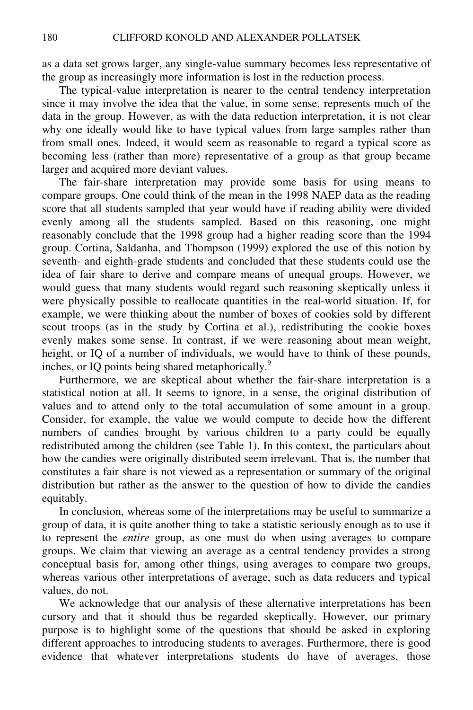as a data set grows larger, any single-value summary becomes less representative of the group as increasingly more information is lost in the reduction process.

The typical-value interpretation is nearer to the central tendency interpretation since it may involve the idea that the value, in some sense, represents much of the data in the group. However, as with the data reduction interpretation, it is not clear why one ideally would like to have typical values from large samples rather than from small ones. Indeed, it would seem as reasonable to regard a typical score as becoming less (rather than more) representative of a group as that group became larger and acquired more deviant values.

The fair-share interpretation may provide some basis for using means to compare groups. One could think of the mean in the 1998 NAEP data as the reading score that all students sampled that year would have if reading ability were divided evenly among all the students sampled. Based on this reasoning, one might reasonably conclude that the 1998 group had a higher reading score than the 1994 group. Cortina, Saldanha, and Thompson (1999) explored the use of this notion by seventh- and eighth-grade students and concluded that these students could use the idea of fair share to derive and compare means of unequal groups. However, we would guess that many students would regard such reasoning skeptically unless it were physically possible to reallocate quantities in the real-world situation. If, for example, we were thinking about the number of boxes of cookies sold by different scout troops (as in the study by Cortina et al.), redistributing the cookie boxes evenly makes some sense. In contrast, if we were reasoning about mean weight, height, or IQ of a number of individuals, we would have to think of these pounds, inches, or IQ points being shared metaphorically.<sup>9</sup>

Furthermore, we are skeptical about whether the fair-share interpretation is a statistical notion at all. It seems to ignore, in a sense, the original distribution of values and to attend only to the total accumulation of some amount in a group. Consider, for example, the value we would compute to decide how the different numbers of candies brought by various children to a party could be equally redistributed among the children (see Table 1). In this context, the particulars about how the candies were originally distributed seem irrelevant. That is, the number that constitutes a fair share is not viewed as a representation or summary of the original distribution but rather as the answer to the question of how to divide the candies equitably.

In conclusion, whereas some of the interpretations may be useful to summarize a group of data, it is quite another thing to take a statistic seriously enough as to use it to represent the *entire* group, as one must do when using averages to compare groups. We claim that viewing an average as a central tendency provides a strong conceptual basis for, among other things, using averages to compare two groups, whereas various other interpretations of average, such as data reducers and typical values, do not.

We acknowledge that our analysis of these alternative interpretations has been cursory and that it should thus be regarded skeptically. However, our primary purpose is to highlight some of the questions that should be asked in exploring different approaches to introducing students to averages. Furthermore, there is good evidence that whatever interpretations students do have of averages, those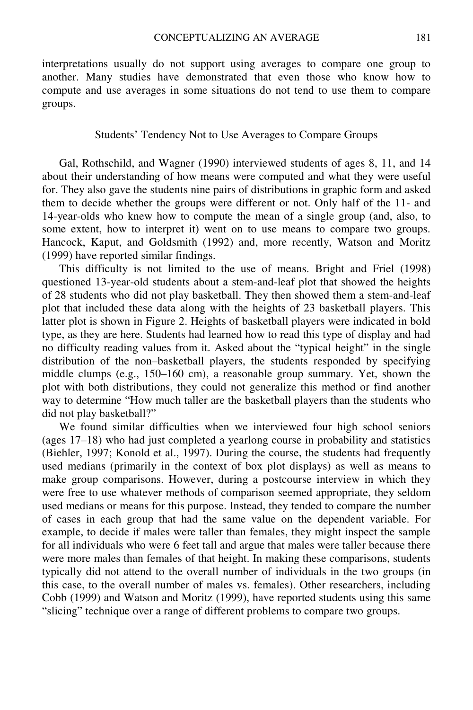interpretations usually do not support using averages to compare one group to another. Many studies have demonstrated that even those who know how to compute and use averages in some situations do not tend to use them to compare groups.

## Students' Tendency Not to Use Averages to Compare Groups

Gal, Rothschild, and Wagner (1990) interviewed students of ages 8, 11, and 14 about their understanding of how means were computed and what they were useful for. They also gave the students nine pairs of distributions in graphic form and asked them to decide whether the groups were different or not. Only half of the 11- and 14-year-olds who knew how to compute the mean of a single group (and, also, to some extent, how to interpret it) went on to use means to compare two groups. Hancock, Kaput, and Goldsmith (1992) and, more recently, Watson and Moritz (1999) have reported similar findings.

This difficulty is not limited to the use of means. Bright and Friel (1998) questioned 13-year-old students about a stem-and-leaf plot that showed the heights of 28 students who did not play basketball. They then showed them a stem-and-leaf plot that included these data along with the heights of 23 basketball players. This latter plot is shown in Figure 2. Heights of basketball players were indicated in bold type, as they are here. Students had learned how to read this type of display and had no difficulty reading values from it. Asked about the "typical height" in the single distribution of the non–basketball players, the students responded by specifying middle clumps (e.g., 150–160 cm), a reasonable group summary. Yet, shown the plot with both distributions, they could not generalize this method or find another way to determine "How much taller are the basketball players than the students who did not play basketball?"

We found similar difficulties when we interviewed four high school seniors (ages 17–18) who had just completed a yearlong course in probability and statistics (Biehler, 1997; Konold et al., 1997). During the course, the students had frequently used medians (primarily in the context of box plot displays) as well as means to make group comparisons. However, during a postcourse interview in which they were free to use whatever methods of comparison seemed appropriate, they seldom used medians or means for this purpose. Instead, they tended to compare the number of cases in each group that had the same value on the dependent variable. For example, to decide if males were taller than females, they might inspect the sample for all individuals who were 6 feet tall and argue that males were taller because there were more males than females of that height. In making these comparisons, students typically did not attend to the overall number of individuals in the two groups (in this case, to the overall number of males vs. females). Other researchers, including Cobb (1999) and Watson and Moritz (1999), have reported students using this same "slicing" technique over a range of different problems to compare two groups.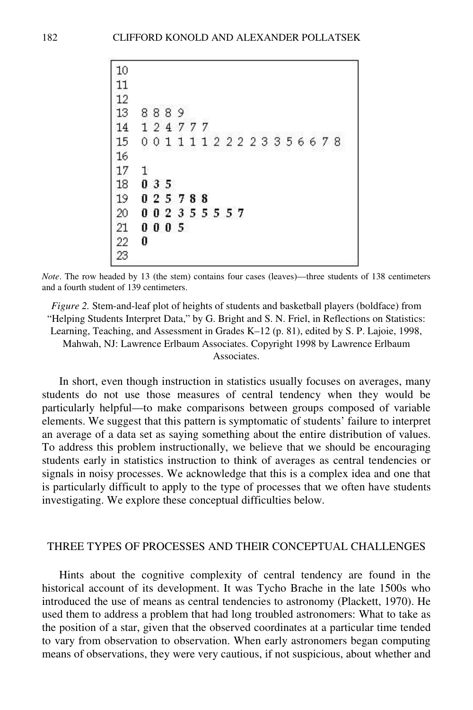```
10
111213
  8889
14124777
15
  00111122223356678
16
17
  1
18
  03519 025788
20 002355557
  000521
22
   0
23
```
*Note*. The row headed by 13 (the stem) contains four cases (leaves)—three students of 138 centimeters and a fourth student of 139 centimeters.

*Figure 2.* Stem-and-leaf plot of heights of students and basketball players (boldface) from "Helping Students Interpret Data," by G. Bright and S. N. Friel, in Reflections on Statistics: Learning, Teaching, and Assessment in Grades K–12 (p. 81), edited by S. P. Lajoie, 1998, Mahwah, NJ: Lawrence Erlbaum Associates. Copyright 1998 by Lawrence Erlbaum Associates.

In short, even though instruction in statistics usually focuses on averages, many students do not use those measures of central tendency when they would be particularly helpful—to make comparisons between groups composed of variable elements. We suggest that this pattern is symptomatic of students' failure to interpret an average of a data set as saying something about the entire distribution of values. To address this problem instructionally, we believe that we should be encouraging students early in statistics instruction to think of averages as central tendencies or signals in noisy processes. We acknowledge that this is a complex idea and one that is particularly difficult to apply to the type of processes that we often have students investigating. We explore these conceptual difficulties below.

## THREE TYPES OF PROCESSES AND THEIR CONCEPTUAL CHALLENGES

Hints about the cognitive complexity of central tendency are found in the historical account of its development. It was Tycho Brache in the late 1500s who introduced the use of means as central tendencies to astronomy (Plackett, 1970). He used them to address a problem that had long troubled astronomers: What to take as the position of a star, given that the observed coordinates at a particular time tended to vary from observation to observation. When early astronomers began computing means of observations, they were very cautious, if not suspicious, about whether and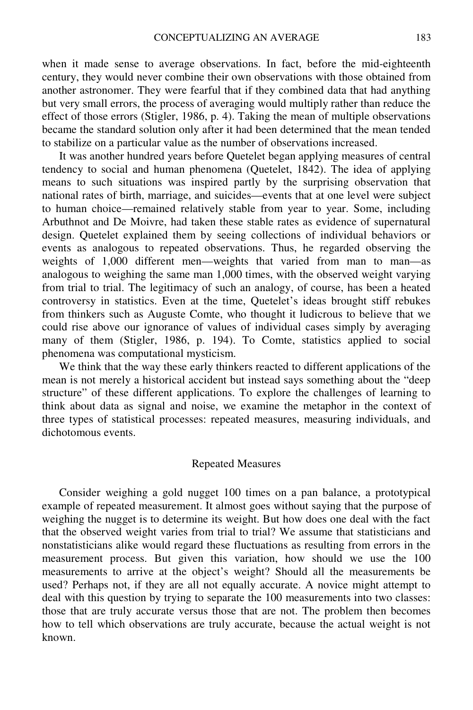when it made sense to average observations. In fact, before the mid-eighteenth century, they would never combine their own observations with those obtained from another astronomer. They were fearful that if they combined data that had anything but very small errors, the process of averaging would multiply rather than reduce the effect of those errors (Stigler, 1986, p. 4). Taking the mean of multiple observations became the standard solution only after it had been determined that the mean tended to stabilize on a particular value as the number of observations increased.

It was another hundred years before Quetelet began applying measures of central tendency to social and human phenomena (Quetelet, 1842). The idea of applying means to such situations was inspired partly by the surprising observation that national rates of birth, marriage, and suicides—events that at one level were subject to human choice—remained relatively stable from year to year. Some, including Arbuthnot and De Moivre, had taken these stable rates as evidence of supernatural design. Quetelet explained them by seeing collections of individual behaviors or events as analogous to repeated observations. Thus, he regarded observing the weights of 1,000 different men—weights that varied from man to man—as analogous to weighing the same man 1,000 times, with the observed weight varying from trial to trial. The legitimacy of such an analogy, of course, has been a heated controversy in statistics. Even at the time, Quetelet's ideas brought stiff rebukes from thinkers such as Auguste Comte, who thought it ludicrous to believe that we could rise above our ignorance of values of individual cases simply by averaging many of them (Stigler, 1986, p. 194). To Comte, statistics applied to social phenomena was computational mysticism.

We think that the way these early thinkers reacted to different applications of the mean is not merely a historical accident but instead says something about the "deep structure" of these different applications. To explore the challenges of learning to think about data as signal and noise, we examine the metaphor in the context of three types of statistical processes: repeated measures, measuring individuals, and dichotomous events.

#### Repeated Measures

Consider weighing a gold nugget 100 times on a pan balance, a prototypical example of repeated measurement. It almost goes without saying that the purpose of weighing the nugget is to determine its weight. But how does one deal with the fact that the observed weight varies from trial to trial? We assume that statisticians and nonstatisticians alike would regard these fluctuations as resulting from errors in the measurement process. But given this variation, how should we use the 100 measurements to arrive at the object's weight? Should all the measurements be used? Perhaps not, if they are all not equally accurate. A novice might attempt to deal with this question by trying to separate the 100 measurements into two classes: those that are truly accurate versus those that are not. The problem then becomes how to tell which observations are truly accurate, because the actual weight is not known.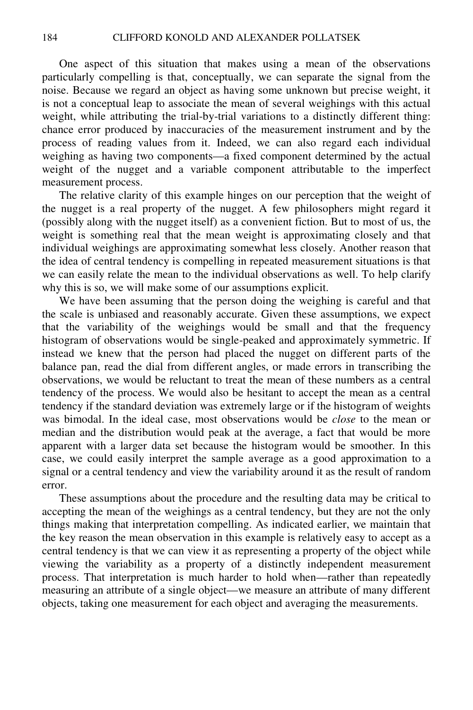One aspect of this situation that makes using a mean of the observations particularly compelling is that, conceptually, we can separate the signal from the noise. Because we regard an object as having some unknown but precise weight, it is not a conceptual leap to associate the mean of several weighings with this actual weight, while attributing the trial-by-trial variations to a distinctly different thing: chance error produced by inaccuracies of the measurement instrument and by the process of reading values from it. Indeed, we can also regard each individual weighing as having two components—a fixed component determined by the actual weight of the nugget and a variable component attributable to the imperfect measurement process.

The relative clarity of this example hinges on our perception that the weight of the nugget is a real property of the nugget. A few philosophers might regard it (possibly along with the nugget itself) as a convenient fiction. But to most of us, the weight is something real that the mean weight is approximating closely and that individual weighings are approximating somewhat less closely. Another reason that the idea of central tendency is compelling in repeated measurement situations is that we can easily relate the mean to the individual observations as well. To help clarify why this is so, we will make some of our assumptions explicit.

We have been assuming that the person doing the weighing is careful and that the scale is unbiased and reasonably accurate. Given these assumptions, we expect that the variability of the weighings would be small and that the frequency histogram of observations would be single-peaked and approximately symmetric. If instead we knew that the person had placed the nugget on different parts of the balance pan, read the dial from different angles, or made errors in transcribing the observations, we would be reluctant to treat the mean of these numbers as a central tendency of the process. We would also be hesitant to accept the mean as a central tendency if the standard deviation was extremely large or if the histogram of weights was bimodal. In the ideal case, most observations would be *close* to the mean or median and the distribution would peak at the average, a fact that would be more apparent with a larger data set because the histogram would be smoother*.* In this case, we could easily interpret the sample average as a good approximation to a signal or a central tendency and view the variability around it as the result of random error.

These assumptions about the procedure and the resulting data may be critical to accepting the mean of the weighings as a central tendency, but they are not the only things making that interpretation compelling. As indicated earlier, we maintain that the key reason the mean observation in this example is relatively easy to accept as a central tendency is that we can view it as representing a property of the object while viewing the variability as a property of a distinctly independent measurement process. That interpretation is much harder to hold when—rather than repeatedly measuring an attribute of a single object—we measure an attribute of many different objects, taking one measurement for each object and averaging the measurements.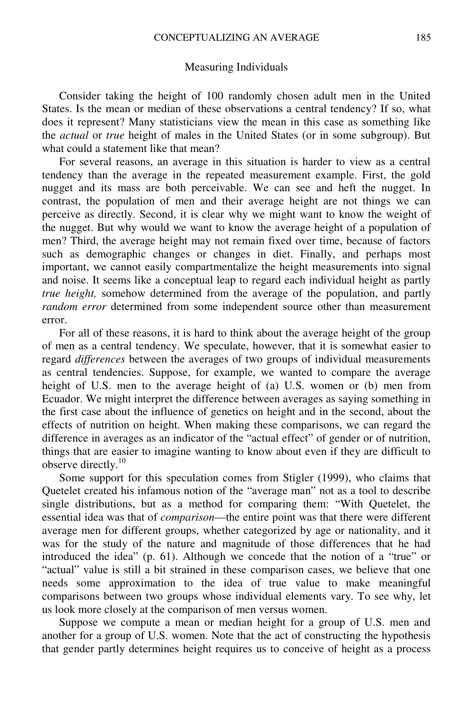## Measuring Individuals

Consider taking the height of 100 randomly chosen adult men in the United States. Is the mean or median of these observations a central tendency? If so, what does it represent? Many statisticians view the mean in this case as something like the *actual* or *true* height of males in the United States (or in some subgroup). But what could a statement like that mean?

For several reasons, an average in this situation is harder to view as a central tendency than the average in the repeated measurement example. First, the gold nugget and its mass are both perceivable. We can see and heft the nugget. In contrast, the population of men and their average height are not things we can perceive as directly. Second, it is clear why we might want to know the weight of the nugget. But why would we want to know the average height of a population of men? Third, the average height may not remain fixed over time, because of factors such as demographic changes or changes in diet. Finally, and perhaps most important, we cannot easily compartmentalize the height measurements into signal and noise. It seems like a conceptual leap to regard each individual height as partly *true height,* somehow determined from the average of the population, and partly *random error* determined from some independent source other than measurement error.

For all of these reasons, it is hard to think about the average height of the group of men as a central tendency. We speculate, however, that it is somewhat easier to regard *differences* between the averages of two groups of individual measurements as central tendencies. Suppose, for example, we wanted to compare the average height of U.S. men to the average height of (a) U.S. women or (b) men from Ecuador. We might interpret the difference between averages as saying something in the first case about the influence of genetics on height and in the second, about the effects of nutrition on height. When making these comparisons, we can regard the difference in averages as an indicator of the "actual effect" of gender or of nutrition, things that are easier to imagine wanting to know about even if they are difficult to observe directly.<sup>10</sup>

Some support for this speculation comes from Stigler (1999), who claims that Quetelet created his infamous notion of the "average man" not as a tool to describe single distributions, but as a method for comparing them: "With Quetelet, the essential idea was that of *comparison*—the entire point was that there were different average men for different groups, whether categorized by age or nationality, and it was for the study of the nature and magnitude of those differences that he had introduced the idea" (p. 61). Although we concede that the notion of a "true" or "actual" value is still a bit strained in these comparison cases, we believe that one needs some approximation to the idea of true value to make meaningful comparisons between two groups whose individual elements vary. To see why, let us look more closely at the comparison of men versus women.

Suppose we compute a mean or median height for a group of U.S. men and another for a group of U.S. women. Note that the act of constructing the hypothesis that gender partly determines height requires us to conceive of height as a process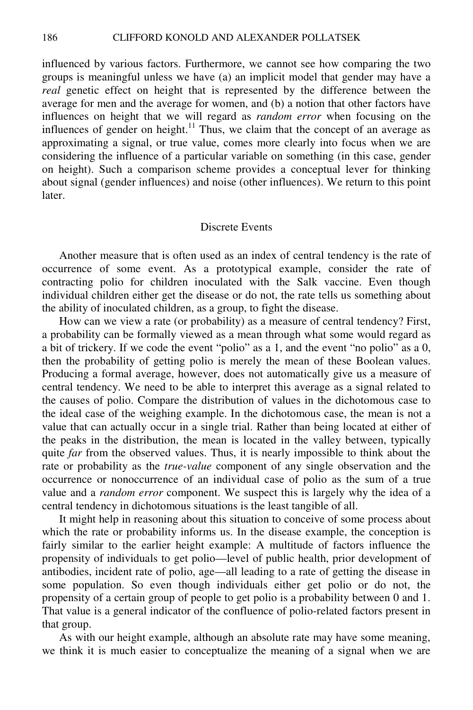influenced by various factors. Furthermore, we cannot see how comparing the two groups is meaningful unless we have (a) an implicit model that gender may have a *real* genetic effect on height that is represented by the difference between the average for men and the average for women, and (b) a notion that other factors have influences on height that we will regard as *random error* when focusing on the influences of gender on height.<sup>11</sup> Thus, we claim that the concept of an average as approximating a signal, or true value, comes more clearly into focus when we are considering the influence of a particular variable on something (in this case, gender on height). Such a comparison scheme provides a conceptual lever for thinking about signal (gender influences) and noise (other influences). We return to this point later.

## Discrete Events

Another measure that is often used as an index of central tendency is the rate of occurrence of some event. As a prototypical example, consider the rate of contracting polio for children inoculated with the Salk vaccine. Even though individual children either get the disease or do not, the rate tells us something about the ability of inoculated children, as a group, to fight the disease.

How can we view a rate (or probability) as a measure of central tendency? First, a probability can be formally viewed as a mean through what some would regard as a bit of trickery. If we code the event "polio" as a 1, and the event "no polio" as a 0, then the probability of getting polio is merely the mean of these Boolean values. Producing a formal average, however, does not automatically give us a measure of central tendency. We need to be able to interpret this average as a signal related to the causes of polio. Compare the distribution of values in the dichotomous case to the ideal case of the weighing example. In the dichotomous case, the mean is not a value that can actually occur in a single trial. Rather than being located at either of the peaks in the distribution, the mean is located in the valley between, typically quite *far* from the observed values. Thus, it is nearly impossible to think about the rate or probability as the *true-value* component of any single observation and the occurrence or nonoccurrence of an individual case of polio as the sum of a true value and a *random error* component. We suspect this is largely why the idea of a central tendency in dichotomous situations is the least tangible of all.

It might help in reasoning about this situation to conceive of some process about which the rate or probability informs us. In the disease example, the conception is fairly similar to the earlier height example: A multitude of factors influence the propensity of individuals to get polio—level of public health, prior development of antibodies, incident rate of polio, age—all leading to a rate of getting the disease in some population. So even though individuals either get polio or do not, the propensity of a certain group of people to get polio is a probability between 0 and 1. That value is a general indicator of the confluence of polio-related factors present in that group.

As with our height example, although an absolute rate may have some meaning, we think it is much easier to conceptualize the meaning of a signal when we are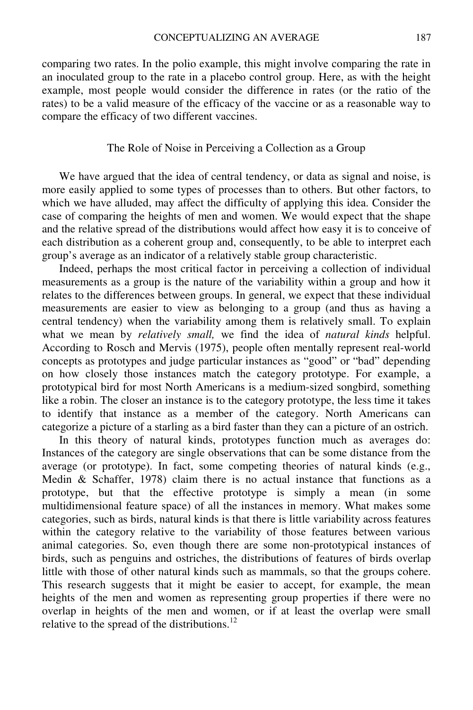comparing two rates. In the polio example, this might involve comparing the rate in an inoculated group to the rate in a placebo control group. Here, as with the height example, most people would consider the difference in rates (or the ratio of the rates) to be a valid measure of the efficacy of the vaccine or as a reasonable way to compare the efficacy of two different vaccines.

## The Role of Noise in Perceiving a Collection as a Group

We have argued that the idea of central tendency, or data as signal and noise, is more easily applied to some types of processes than to others. But other factors, to which we have alluded, may affect the difficulty of applying this idea. Consider the case of comparing the heights of men and women. We would expect that the shape and the relative spread of the distributions would affect how easy it is to conceive of each distribution as a coherent group and, consequently, to be able to interpret each group's average as an indicator of a relatively stable group characteristic.

Indeed, perhaps the most critical factor in perceiving a collection of individual measurements as a group is the nature of the variability within a group and how it relates to the differences between groups. In general, we expect that these individual measurements are easier to view as belonging to a group (and thus as having a central tendency) when the variability among them is relatively small. To explain what we mean by *relatively small,* we find the idea of *natural kinds* helpful. According to Rosch and Mervis (1975), people often mentally represent real-world concepts as prototypes and judge particular instances as "good" or "bad" depending on how closely those instances match the category prototype. For example, a prototypical bird for most North Americans is a medium-sized songbird, something like a robin. The closer an instance is to the category prototype, the less time it takes to identify that instance as a member of the category. North Americans can categorize a picture of a starling as a bird faster than they can a picture of an ostrich.

In this theory of natural kinds, prototypes function much as averages do: Instances of the category are single observations that can be some distance from the average (or prototype). In fact, some competing theories of natural kinds (e.g., Medin & Schaffer, 1978) claim there is no actual instance that functions as a prototype, but that the effective prototype is simply a mean (in some multidimensional feature space) of all the instances in memory. What makes some categories, such as birds, natural kinds is that there is little variability across features within the category relative to the variability of those features between various animal categories. So, even though there are some non-prototypical instances of birds, such as penguins and ostriches, the distributions of features of birds overlap little with those of other natural kinds such as mammals, so that the groups cohere. This research suggests that it might be easier to accept, for example, the mean heights of the men and women as representing group properties if there were no overlap in heights of the men and women, or if at least the overlap were small relative to the spread of the distributions. $^{12}$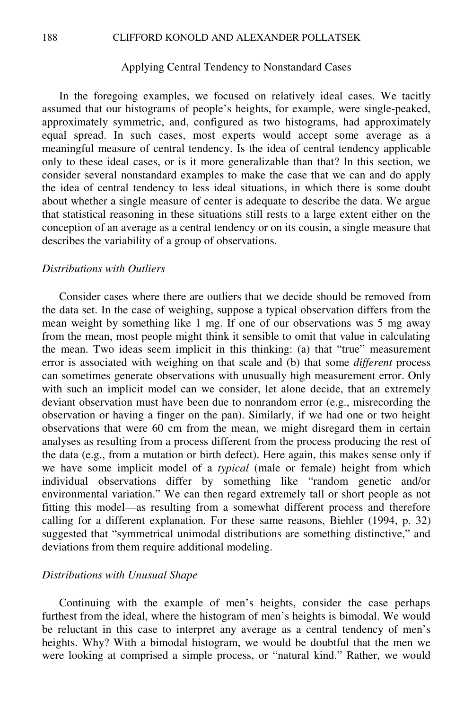#### 188 CLIFFORD KONOLD AND ALEXANDER POLLATSEK

#### Applying Central Tendency to Nonstandard Cases

In the foregoing examples, we focused on relatively ideal cases. We tacitly assumed that our histograms of people's heights, for example, were single-peaked, approximately symmetric, and, configured as two histograms, had approximately equal spread. In such cases, most experts would accept some average as a meaningful measure of central tendency. Is the idea of central tendency applicable only to these ideal cases, or is it more generalizable than that? In this section, we consider several nonstandard examples to make the case that we can and do apply the idea of central tendency to less ideal situations, in which there is some doubt about whether a single measure of center is adequate to describe the data. We argue that statistical reasoning in these situations still rests to a large extent either on the conception of an average as a central tendency or on its cousin, a single measure that describes the variability of a group of observations.

#### *Distributions with Outliers*

Consider cases where there are outliers that we decide should be removed from the data set. In the case of weighing, suppose a typical observation differs from the mean weight by something like 1 mg. If one of our observations was 5 mg away from the mean, most people might think it sensible to omit that value in calculating the mean. Two ideas seem implicit in this thinking: (a) that "true" measurement error is associated with weighing on that scale and (b) that some *different* process can sometimes generate observations with unusually high measurement error. Only with such an implicit model can we consider, let alone decide, that an extremely deviant observation must have been due to nonrandom error (e.g., misrecording the observation or having a finger on the pan). Similarly, if we had one or two height observations that were 60 cm from the mean, we might disregard them in certain analyses as resulting from a process different from the process producing the rest of the data (e.g., from a mutation or birth defect). Here again, this makes sense only if we have some implicit model of a *typical* (male or female) height from which individual observations differ by something like "random genetic and/or environmental variation." We can then regard extremely tall or short people as not fitting this model—as resulting from a somewhat different process and therefore calling for a different explanation. For these same reasons, Biehler (1994, p. 32) suggested that "symmetrical unimodal distributions are something distinctive," and deviations from them require additional modeling.

## *Distributions with Unusual Shape*

Continuing with the example of men's heights, consider the case perhaps furthest from the ideal, where the histogram of men's heights is bimodal. We would be reluctant in this case to interpret any average as a central tendency of men's heights. Why? With a bimodal histogram, we would be doubtful that the men we were looking at comprised a simple process, or "natural kind." Rather, we would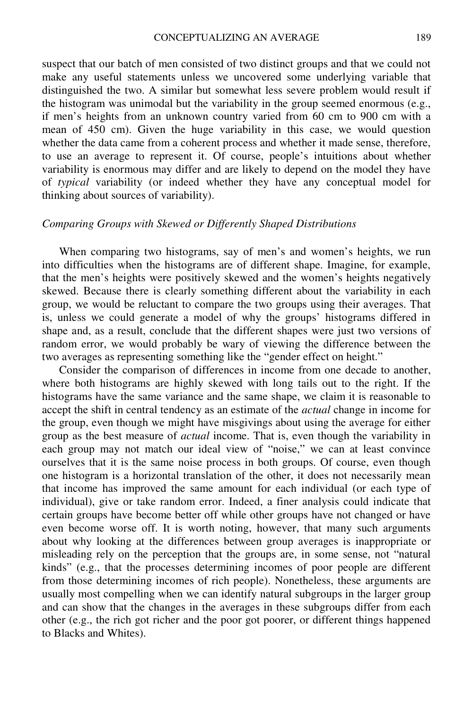suspect that our batch of men consisted of two distinct groups and that we could not make any useful statements unless we uncovered some underlying variable that distinguished the two. A similar but somewhat less severe problem would result if the histogram was unimodal but the variability in the group seemed enormous (e.g., if men's heights from an unknown country varied from 60 cm to 900 cm with a mean of 450 cm). Given the huge variability in this case, we would question whether the data came from a coherent process and whether it made sense, therefore, to use an average to represent it. Of course, people's intuitions about whether variability is enormous may differ and are likely to depend on the model they have of *typical* variability (or indeed whether they have any conceptual model for thinking about sources of variability).

## *Comparing Groups with Skewed or Differently Shaped Distributions*

When comparing two histograms, say of men's and women's heights, we run into difficulties when the histograms are of different shape. Imagine, for example, that the men's heights were positively skewed and the women's heights negatively skewed. Because there is clearly something different about the variability in each group, we would be reluctant to compare the two groups using their averages. That is, unless we could generate a model of why the groups' histograms differed in shape and, as a result, conclude that the different shapes were just two versions of random error, we would probably be wary of viewing the difference between the two averages as representing something like the "gender effect on height."

Consider the comparison of differences in income from one decade to another, where both histograms are highly skewed with long tails out to the right. If the histograms have the same variance and the same shape, we claim it is reasonable to accept the shift in central tendency as an estimate of the *actual* change in income for the group, even though we might have misgivings about using the average for either group as the best measure of *actual* income. That is, even though the variability in each group may not match our ideal view of "noise," we can at least convince ourselves that it is the same noise process in both groups. Of course, even though one histogram is a horizontal translation of the other, it does not necessarily mean that income has improved the same amount for each individual (or each type of individual), give or take random error. Indeed, a finer analysis could indicate that certain groups have become better off while other groups have not changed or have even become worse off. It is worth noting, however, that many such arguments about why looking at the differences between group averages is inappropriate or misleading rely on the perception that the groups are, in some sense, not "natural kinds" (e.g., that the processes determining incomes of poor people are different from those determining incomes of rich people). Nonetheless, these arguments are usually most compelling when we can identify natural subgroups in the larger group and can show that the changes in the averages in these subgroups differ from each other (e.g., the rich got richer and the poor got poorer, or different things happened to Blacks and Whites).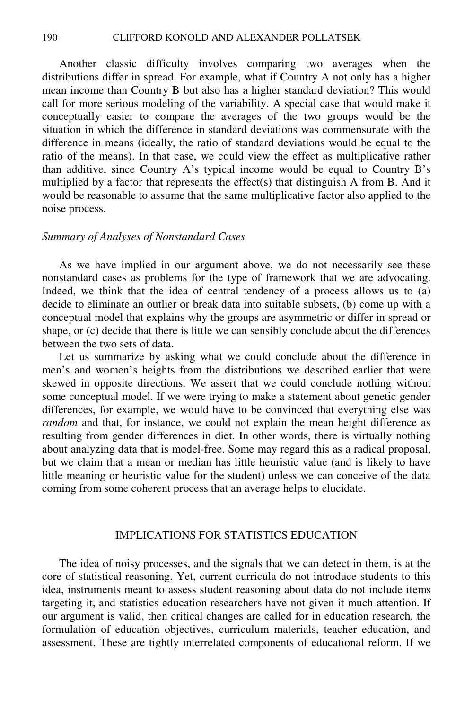Another classic difficulty involves comparing two averages when the distributions differ in spread. For example, what if Country A not only has a higher mean income than Country B but also has a higher standard deviation? This would call for more serious modeling of the variability. A special case that would make it conceptually easier to compare the averages of the two groups would be the situation in which the difference in standard deviations was commensurate with the difference in means (ideally, the ratio of standard deviations would be equal to the ratio of the means). In that case, we could view the effect as multiplicative rather than additive, since Country A's typical income would be equal to Country B's multiplied by a factor that represents the effect(s) that distinguish A from B. And it would be reasonable to assume that the same multiplicative factor also applied to the noise process.

## *Summary of Analyses of Nonstandard Cases*

As we have implied in our argument above, we do not necessarily see these nonstandard cases as problems for the type of framework that we are advocating. Indeed, we think that the idea of central tendency of a process allows us to (a) decide to eliminate an outlier or break data into suitable subsets, (b) come up with a conceptual model that explains why the groups are asymmetric or differ in spread or shape, or (c) decide that there is little we can sensibly conclude about the differences between the two sets of data.

Let us summarize by asking what we could conclude about the difference in men's and women's heights from the distributions we described earlier that were skewed in opposite directions. We assert that we could conclude nothing without some conceptual model. If we were trying to make a statement about genetic gender differences, for example, we would have to be convinced that everything else was *random* and that, for instance, we could not explain the mean height difference as resulting from gender differences in diet. In other words, there is virtually nothing about analyzing data that is model-free. Some may regard this as a radical proposal, but we claim that a mean or median has little heuristic value (and is likely to have little meaning or heuristic value for the student) unless we can conceive of the data coming from some coherent process that an average helps to elucidate.

## IMPLICATIONS FOR STATISTICS EDUCATION

The idea of noisy processes, and the signals that we can detect in them, is at the core of statistical reasoning. Yet, current curricula do not introduce students to this idea, instruments meant to assess student reasoning about data do not include items targeting it, and statistics education researchers have not given it much attention. If our argument is valid, then critical changes are called for in education research, the formulation of education objectives, curriculum materials, teacher education, and assessment. These are tightly interrelated components of educational reform. If we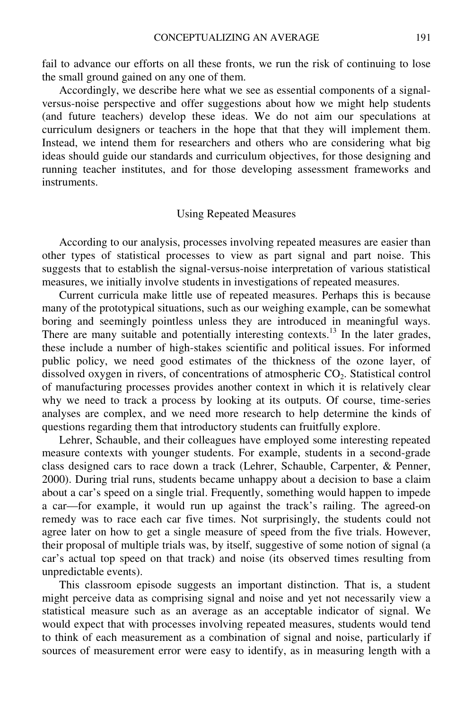fail to advance our efforts on all these fronts, we run the risk of continuing to lose the small ground gained on any one of them.

Accordingly, we describe here what we see as essential components of a signalversus-noise perspective and offer suggestions about how we might help students (and future teachers) develop these ideas. We do not aim our speculations at curriculum designers or teachers in the hope that that they will implement them. Instead, we intend them for researchers and others who are considering what big ideas should guide our standards and curriculum objectives, for those designing and running teacher institutes, and for those developing assessment frameworks and instruments.

## Using Repeated Measures

According to our analysis, processes involving repeated measures are easier than other types of statistical processes to view as part signal and part noise. This suggests that to establish the signal-versus-noise interpretation of various statistical measures, we initially involve students in investigations of repeated measures.

Current curricula make little use of repeated measures. Perhaps this is because many of the prototypical situations, such as our weighing example, can be somewhat boring and seemingly pointless unless they are introduced in meaningful ways. There are many suitable and potentially interesting contexts.<sup>13</sup> In the later grades, these include a number of high-stakes scientific and political issues. For informed public policy, we need good estimates of the thickness of the ozone layer, of dissolved oxygen in rivers, of concentrations of atmospheric  $CO<sub>2</sub>$ . Statistical control of manufacturing processes provides another context in which it is relatively clear why we need to track a process by looking at its outputs. Of course, time-series analyses are complex, and we need more research to help determine the kinds of questions regarding them that introductory students can fruitfully explore.

Lehrer, Schauble, and their colleagues have employed some interesting repeated measure contexts with younger students. For example, students in a second-grade class designed cars to race down a track (Lehrer, Schauble, Carpenter, & Penner, 2000). During trial runs, students became unhappy about a decision to base a claim about a car's speed on a single trial. Frequently, something would happen to impede a car—for example, it would run up against the track's railing. The agreed-on remedy was to race each car five times. Not surprisingly, the students could not agree later on how to get a single measure of speed from the five trials. However, their proposal of multiple trials was, by itself, suggestive of some notion of signal (a car's actual top speed on that track) and noise (its observed times resulting from unpredictable events).

This classroom episode suggests an important distinction. That is, a student might perceive data as comprising signal and noise and yet not necessarily view a statistical measure such as an average as an acceptable indicator of signal. We would expect that with processes involving repeated measures, students would tend to think of each measurement as a combination of signal and noise, particularly if sources of measurement error were easy to identify, as in measuring length with a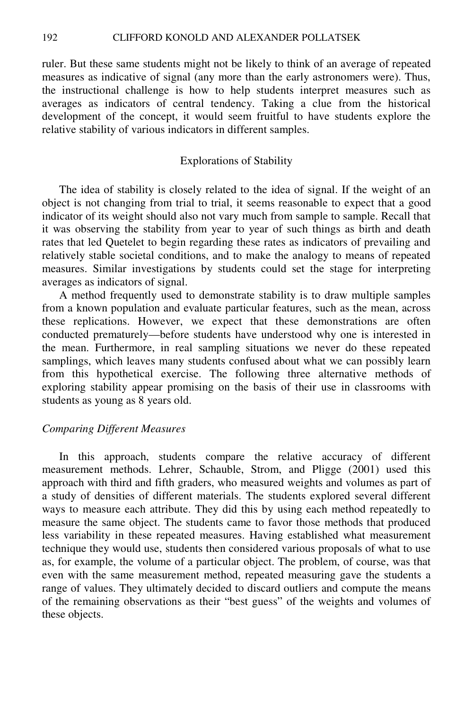ruler. But these same students might not be likely to think of an average of repeated measures as indicative of signal (any more than the early astronomers were). Thus, the instructional challenge is how to help students interpret measures such as averages as indicators of central tendency. Taking a clue from the historical development of the concept, it would seem fruitful to have students explore the relative stability of various indicators in different samples.

## Explorations of Stability

The idea of stability is closely related to the idea of signal. If the weight of an object is not changing from trial to trial, it seems reasonable to expect that a good indicator of its weight should also not vary much from sample to sample. Recall that it was observing the stability from year to year of such things as birth and death rates that led Quetelet to begin regarding these rates as indicators of prevailing and relatively stable societal conditions, and to make the analogy to means of repeated measures. Similar investigations by students could set the stage for interpreting averages as indicators of signal.

A method frequently used to demonstrate stability is to draw multiple samples from a known population and evaluate particular features, such as the mean, across these replications. However, we expect that these demonstrations are often conducted prematurely—before students have understood why one is interested in the mean. Furthermore, in real sampling situations we never do these repeated samplings, which leaves many students confused about what we can possibly learn from this hypothetical exercise. The following three alternative methods of exploring stability appear promising on the basis of their use in classrooms with students as young as 8 years old.

## *Comparing Different Measures*

In this approach, students compare the relative accuracy of different measurement methods. Lehrer, Schauble, Strom, and Pligge (2001) used this approach with third and fifth graders, who measured weights and volumes as part of a study of densities of different materials. The students explored several different ways to measure each attribute. They did this by using each method repeatedly to measure the same object. The students came to favor those methods that produced less variability in these repeated measures. Having established what measurement technique they would use, students then considered various proposals of what to use as, for example, the volume of a particular object. The problem, of course, was that even with the same measurement method, repeated measuring gave the students a range of values. They ultimately decided to discard outliers and compute the means of the remaining observations as their "best guess" of the weights and volumes of these objects.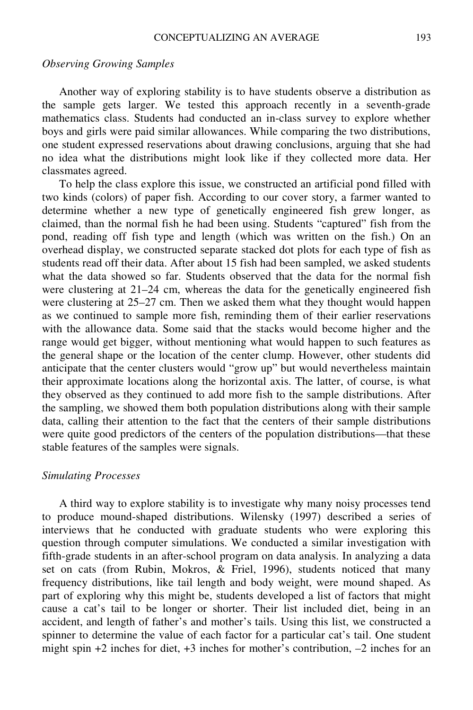## *Observing Growing Samples*

Another way of exploring stability is to have students observe a distribution as the sample gets larger. We tested this approach recently in a seventh-grade mathematics class. Students had conducted an in-class survey to explore whether boys and girls were paid similar allowances. While comparing the two distributions, one student expressed reservations about drawing conclusions, arguing that she had no idea what the distributions might look like if they collected more data. Her classmates agreed.

To help the class explore this issue, we constructed an artificial pond filled with two kinds (colors) of paper fish. According to our cover story, a farmer wanted to determine whether a new type of genetically engineered fish grew longer, as claimed, than the normal fish he had been using. Students "captured" fish from the pond, reading off fish type and length (which was written on the fish.) On an overhead display, we constructed separate stacked dot plots for each type of fish as students read off their data. After about 15 fish had been sampled, we asked students what the data showed so far. Students observed that the data for the normal fish were clustering at 21–24 cm, whereas the data for the genetically engineered fish were clustering at 25–27 cm. Then we asked them what they thought would happen as we continued to sample more fish, reminding them of their earlier reservations with the allowance data. Some said that the stacks would become higher and the range would get bigger, without mentioning what would happen to such features as the general shape or the location of the center clump. However, other students did anticipate that the center clusters would "grow up" but would nevertheless maintain their approximate locations along the horizontal axis. The latter, of course, is what they observed as they continued to add more fish to the sample distributions. After the sampling, we showed them both population distributions along with their sample data, calling their attention to the fact that the centers of their sample distributions were quite good predictors of the centers of the population distributions—that these stable features of the samples were signals.

## *Simulating Processes*

A third way to explore stability is to investigate why many noisy processes tend to produce mound-shaped distributions. Wilensky (1997) described a series of interviews that he conducted with graduate students who were exploring this question through computer simulations. We conducted a similar investigation with fifth-grade students in an after-school program on data analysis. In analyzing a data set on cats (from Rubin, Mokros, & Friel, 1996), students noticed that many frequency distributions, like tail length and body weight, were mound shaped. As part of exploring why this might be, students developed a list of factors that might cause a cat's tail to be longer or shorter. Their list included diet, being in an accident, and length of father's and mother's tails. Using this list, we constructed a spinner to determine the value of each factor for a particular cat's tail. One student might spin  $+2$  inches for diet,  $+3$  inches for mother's contribution,  $-2$  inches for an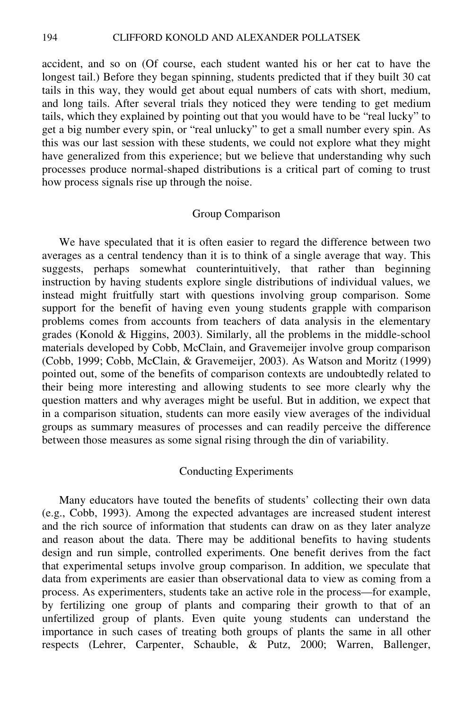accident, and so on (Of course, each student wanted his or her cat to have the longest tail.) Before they began spinning, students predicted that if they built 30 cat tails in this way, they would get about equal numbers of cats with short, medium, and long tails. After several trials they noticed they were tending to get medium tails, which they explained by pointing out that you would have to be "real lucky" to get a big number every spin, or "real unlucky" to get a small number every spin. As this was our last session with these students, we could not explore what they might have generalized from this experience; but we believe that understanding why such processes produce normal-shaped distributions is a critical part of coming to trust how process signals rise up through the noise.

## Group Comparison

We have speculated that it is often easier to regard the difference between two averages as a central tendency than it is to think of a single average that way. This suggests, perhaps somewhat counterintuitively, that rather than beginning instruction by having students explore single distributions of individual values, we instead might fruitfully start with questions involving group comparison. Some support for the benefit of having even young students grapple with comparison problems comes from accounts from teachers of data analysis in the elementary grades (Konold  $\&$  Higgins, 2003). Similarly, all the problems in the middle-school materials developed by Cobb, McClain, and Gravemeijer involve group comparison (Cobb, 1999; Cobb, McClain, & Gravemeijer, 2003). As Watson and Moritz (1999) pointed out, some of the benefits of comparison contexts are undoubtedly related to their being more interesting and allowing students to see more clearly why the question matters and why averages might be useful. But in addition, we expect that in a comparison situation, students can more easily view averages of the individual groups as summary measures of processes and can readily perceive the difference between those measures as some signal rising through the din of variability.

## Conducting Experiments

Many educators have touted the benefits of students' collecting their own data (e.g., Cobb, 1993). Among the expected advantages are increased student interest and the rich source of information that students can draw on as they later analyze and reason about the data. There may be additional benefits to having students design and run simple, controlled experiments. One benefit derives from the fact that experimental setups involve group comparison. In addition, we speculate that data from experiments are easier than observational data to view as coming from a process. As experimenters, students take an active role in the process—for example, by fertilizing one group of plants and comparing their growth to that of an unfertilized group of plants. Even quite young students can understand the importance in such cases of treating both groups of plants the same in all other respects (Lehrer, Carpenter, Schauble, & Putz, 2000; Warren, Ballenger,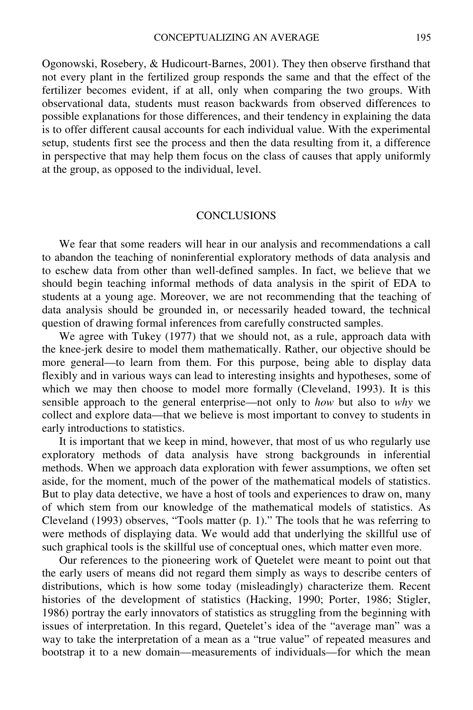Ogonowski, Rosebery, & Hudicourt-Barnes, 2001). They then observe firsthand that not every plant in the fertilized group responds the same and that the effect of the fertilizer becomes evident, if at all, only when comparing the two groups. With observational data, students must reason backwards from observed differences to possible explanations for those differences, and their tendency in explaining the data is to offer different causal accounts for each individual value. With the experimental setup, students first see the process and then the data resulting from it, a difference in perspective that may help them focus on the class of causes that apply uniformly at the group, as opposed to the individual, level.

## **CONCLUSIONS**

We fear that some readers will hear in our analysis and recommendations a call to abandon the teaching of noninferential exploratory methods of data analysis and to eschew data from other than well-defined samples. In fact, we believe that we should begin teaching informal methods of data analysis in the spirit of EDA to students at a young age. Moreover, we are not recommending that the teaching of data analysis should be grounded in, or necessarily headed toward, the technical question of drawing formal inferences from carefully constructed samples.

We agree with Tukey (1977) that we should not, as a rule, approach data with the knee-jerk desire to model them mathematically. Rather, our objective should be more general—to learn from them. For this purpose, being able to display data flexibly and in various ways can lead to interesting insights and hypotheses, some of which we may then choose to model more formally (Cleveland, 1993). It is this sensible approach to the general enterprise—not only to *how* but also to *why* we collect and explore data—that we believe is most important to convey to students in early introductions to statistics.

It is important that we keep in mind, however, that most of us who regularly use exploratory methods of data analysis have strong backgrounds in inferential methods. When we approach data exploration with fewer assumptions, we often set aside, for the moment, much of the power of the mathematical models of statistics. But to play data detective, we have a host of tools and experiences to draw on, many of which stem from our knowledge of the mathematical models of statistics. As Cleveland (1993) observes, "Tools matter (p. 1)." The tools that he was referring to were methods of displaying data. We would add that underlying the skillful use of such graphical tools is the skillful use of conceptual ones, which matter even more.

Our references to the pioneering work of Quetelet were meant to point out that the early users of means did not regard them simply as ways to describe centers of distributions, which is how some today (misleadingly) characterize them. Recent histories of the development of statistics (Hacking, 1990; Porter, 1986; Stigler, 1986) portray the early innovators of statistics as struggling from the beginning with issues of interpretation. In this regard, Quetelet's idea of the "average man" was a way to take the interpretation of a mean as a "true value" of repeated measures and bootstrap it to a new domain—measurements of individuals—for which the mean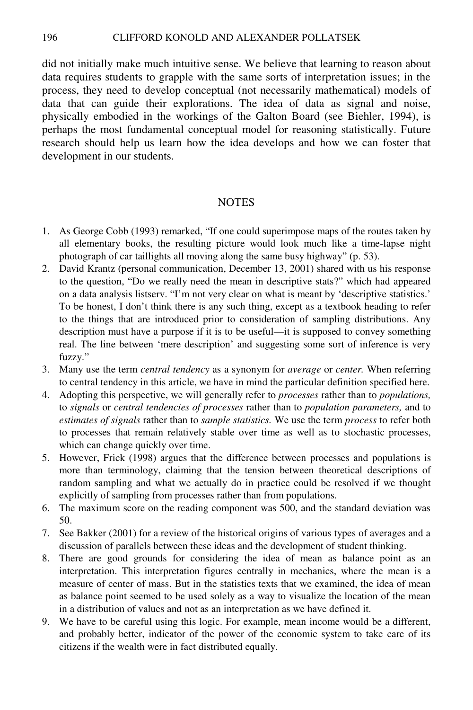did not initially make much intuitive sense. We believe that learning to reason about data requires students to grapple with the same sorts of interpretation issues; in the process, they need to develop conceptual (not necessarily mathematical) models of data that can guide their explorations. The idea of data as signal and noise, physically embodied in the workings of the Galton Board (see Biehler, 1994), is perhaps the most fundamental conceptual model for reasoning statistically. Future research should help us learn how the idea develops and how we can foster that development in our students.

## **NOTES**

- 1. As George Cobb (1993) remarked, "If one could superimpose maps of the routes taken by all elementary books, the resulting picture would look much like a time-lapse night photograph of car taillights all moving along the same busy highway" (p. 53).
- 2. David Krantz (personal communication, December 13, 2001) shared with us his response to the question, "Do we really need the mean in descriptive stats?" which had appeared on a data analysis listserv. "I'm not very clear on what is meant by 'descriptive statistics.' To be honest, I don't think there is any such thing, except as a textbook heading to refer to the things that are introduced prior to consideration of sampling distributions. Any description must have a purpose if it is to be useful—it is supposed to convey something real. The line between 'mere description' and suggesting some sort of inference is very fuzzy."
- 3. Many use the term *central tendency* as a synonym for *average* or *center.* When referring to central tendency in this article, we have in mind the particular definition specified here.
- 4. Adopting this perspective, we will generally refer to *processes* rather than to *populations,* to *signals* or *central tendencies of processes* rather than to *population parameters,* and to *estimates of signals* rather than to *sample statistics.* We use the term *process* to refer both to processes that remain relatively stable over time as well as to stochastic processes, which can change quickly over time.
- 5. However, Frick (1998) argues that the difference between processes and populations is more than terminology, claiming that the tension between theoretical descriptions of random sampling and what we actually do in practice could be resolved if we thought explicitly of sampling from processes rather than from populations.
- 6. The maximum score on the reading component was 500, and the standard deviation was 50.
- 7. See Bakker (2001) for a review of the historical origins of various types of averages and a discussion of parallels between these ideas and the development of student thinking.
- 8. There are good grounds for considering the idea of mean as balance point as an interpretation. This interpretation figures centrally in mechanics, where the mean is a measure of center of mass. But in the statistics texts that we examined, the idea of mean as balance point seemed to be used solely as a way to visualize the location of the mean in a distribution of values and not as an interpretation as we have defined it.
- 9. We have to be careful using this logic. For example, mean income would be a different, and probably better, indicator of the power of the economic system to take care of its citizens if the wealth were in fact distributed equally.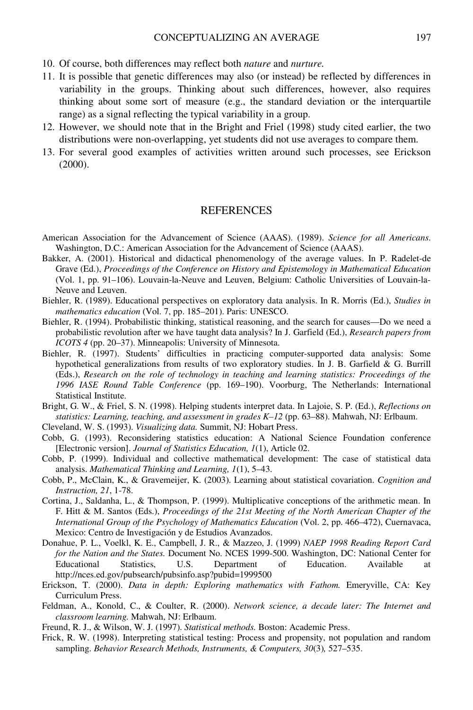- 10. Of course, both differences may reflect both *nature* and *nurture.*
- 11. It is possible that genetic differences may also (or instead) be reflected by differences in variability in the groups. Thinking about such differences, however, also requires thinking about some sort of measure (e.g., the standard deviation or the interquartile range) as a signal reflecting the typical variability in a group.
- 12. However, we should note that in the Bright and Friel (1998) study cited earlier, the two distributions were non-overlapping, yet students did not use averages to compare them.
- 13. For several good examples of activities written around such processes, see Erickson (2000).

#### **REFERENCES**

- American Association for the Advancement of Science (AAAS). (1989). *Science for all Americans*. Washington, D.C.: American Association for the Advancement of Science (AAAS).
- Bakker, A. (2001). Historical and didactical phenomenology of the average values. In P. Radelet-de Grave (Ed.), *Proceedings of the Conference on History and Epistemology in Mathematical Education* (Vol. 1, pp. 91–106). Louvain-la-Neuve and Leuven, Belgium: Catholic Universities of Louvain-la-Neuve and Leuven.
- Biehler, R. (1989). Educational perspectives on exploratory data analysis. In R. Morris (Ed.), *Studies in mathematics education* (Vol. 7, pp. 185–201). Paris: UNESCO.
- Biehler, R. (1994). Probabilistic thinking, statistical reasoning, and the search for causes—Do we need a probabilistic revolution after we have taught data analysis? In J. Garfield (Ed.), *Research papers from ICOTS 4* (pp. 20–37). Minneapolis: University of Minnesota.
- Biehler, R. (1997). Students' difficulties in practicing computer-supported data analysis: Some hypothetical generalizations from results of two exploratory studies. In J. B. Garfield & G. Burrill (Eds.), *Research on the role of technology in teaching and learning statistics: Proceedings of the 1996 IASE Round Table Conference* (pp. 169–190). Voorburg, The Netherlands: International Statistical Institute.
- Bright, G. W., & Friel, S. N. (1998). Helping students interpret data. In Lajoie, S. P. (Ed.), *Reflections on statistics: Learning, teaching, and assessment in grades K–12* (pp. 63–88). Mahwah, NJ: Erlbaum.
- Cleveland, W. S. (1993). *Visualizing data.* Summit, NJ: Hobart Press.
- Cobb, G. (1993). Reconsidering statistics education: A National Science Foundation conference [Electronic version]. *Journal of Statistics Education, 1*(1), Article 02.
- Cobb, P. (1999). Individual and collective mathematical development: The case of statistical data analysis. *Mathematical Thinking and Learning, 1*(1), 5–43.
- Cobb, P., McClain, K., & Gravemeijer, K. (2003). Learning about statistical covariation. *Cognition and Instruction, 21*, 1-78.
- Cortina, J., Saldanha, L., & Thompson, P. (1999). Multiplicative conceptions of the arithmetic mean. In F. Hitt & M. Santos (Eds.), *Proceedings of the 21st Meeting of the North American Chapter of the International Group of the Psychology of Mathematics Education* (Vol. 2, pp. 466–472), Cuernavaca, Mexico: Centro de Investigación y de Estudios Avanzados.
- Donahue, P. L., Voelkl, K. E., Campbell, J. R., & Mazzeo, J. (1999) *NAEP 1998 Reading Report Card for the Nation and the States.* Document No. NCES 1999-500. Washington, DC: National Center for Educational Statistics, U.S. Department of Education. Available at http://nces.ed.gov/pubsearch/pubsinfo.asp?pubid=1999500
- Erickson, T. (2000). *Data in depth: Exploring mathematics with Fathom.* Emeryville, CA: Key Curriculum Press.
- Feldman, A., Konold, C., & Coulter, R. (2000). *Network science, a decade later: The Internet and classroom learning.* Mahwah, NJ: Erlbaum.
- Freund, R. J., & Wilson, W. J. (1997). *Statistical methods.* Boston: Academic Press.
- Frick, R. W. (1998). Interpreting statistical testing: Process and propensity, not population and random sampling. *Behavior Research Methods, Instruments, & Computers, 30*(3)*,* 527–535.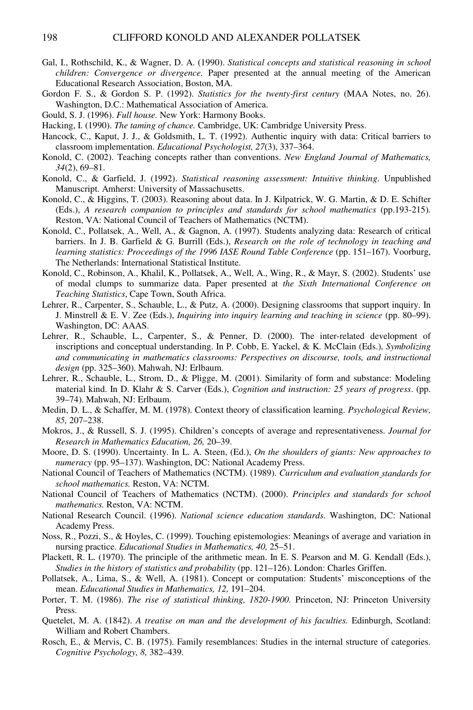- Gal, I., Rothschild, K., & Wagner, D. A. (1990). *Statistical concepts and statistical reasoning in school children: Convergence or divergence.* Paper presented at the annual meeting of the American Educational Research Association, Boston, MA.
- Gordon F. S., & Gordon S. P. (1992). *Statistics for the twenty-first century* (MAA Notes, no. 26). Washington, D.C.: Mathematical Association of America.
- Gould, S. J. (1996). *Full house.* New York: Harmony Books.
- Hacking, I. (1990). *The taming of chance.* Cambridge, UK: Cambridge University Press.
- Hancock, C., Kaput, J. J., & Goldsmith, L. T. (1992). Authentic inquiry with data: Critical barriers to classroom implementation. *Educational Psychologist, 27*(3), 337–364.
- Konold, C. (2002). Teaching concepts rather than conventions. *New England Journal of Mathematics, 34*(2), 69–81.
- Konold, C., & Garfield, J. (1992). *Statistical reasoning assessment: Intuitive thinking*. Unpublished Manuscript. Amherst: University of Massachusetts.
- Konold, C., & Higgins, T. (2003). Reasoning about data. In J. Kilpatrick, W. G. Martin, & D. E. Schifter (Eds.), *A research companion to principles and standards for school mathematics* (pp.193-215)*.* Reston, VA: National Council of Teachers of Mathematics (NCTM).
- Konold, C., Pollatsek, A., Well, A., & Gagnon, A. (1997). Students analyzing data: Research of critical barriers. In J. B. Garfield & G. Burrill (Eds.), *Research on the role of technology in teaching and learning statistics: Proceedings of the 1996 IASE Round Table Conference* (pp. 151–167). Voorburg, The Netherlands: International Statistical Institute.
- Konold, C., Robinson, A., Khalil, K., Pollatsek, A., Well, A., Wing, R., & Mayr, S. (2002). Students' use of modal clumps to summarize data. Paper presented at *the Sixth International Conference on Teaching Statistics*, Cape Town, South Africa.
- Lehrer, R., Carpenter, S., Schauble, L., & Putz, A. (2000). Designing classrooms that support inquiry. In J. Minstrell & E. V. Zee (Eds.), *Inquiring into inquiry learning and teaching in science* (pp. 80–99). Washington, DC: AAAS.
- Lehrer, R., Schauble, L., Carpenter, S., & Penner, D. (2000). The inter-related development of inscriptions and conceptual understanding. In P. Cobb, E. Yackel, & K. McClain (Eds.), *Symbolizing and communicating in mathematics classrooms: Perspectives on discourse, tools, and instructional design* (pp. 325–360). Mahwah, NJ: Erlbaum.
- Lehrer, R., Schauble, L., Strom, D., & Pligge, M. (2001). Similarity of form and substance: Modeling material kind. In D. Klahr & S. Carver (Eds.), *Cognition and instruction: 25 years of progress*. (pp. 39–74). Mahwah, NJ: Erlbaum.
- Medin, D. L., & Schaffer, M. M. (1978). Context theory of classification learning. *Psychological Review, 85,* 207–238.
- Mokros, J., & Russell, S. J. (1995). Children's concepts of average and representativeness. *Journal for Research in Mathematics Education, 26,* 20–39.
- Moore, D. S. (1990). Uncertainty. In L. A. Steen, (Ed.), *On the shoulders of giants: New approaches to numeracy* (pp. 95–137). Washington, DC: National Academy Press.
- National Council of Teachers of Mathematics (NCTM). (1989). *Curriculum and evaluation standards for school mathematics.* Reston, VA: NCTM.
- National Council of Teachers of Mathematics (NCTM). (2000). *Principles and standards for school mathematics.* Reston, VA: NCTM.
- National Research Council. (1996). *National science education standards.* Washington, DC: National Academy Press.
- Noss, R., Pozzi, S., & Hoyles, C. (1999). Touching epistemologies: Meanings of average and variation in nursing practice. *Educational Studies in Mathematics, 40,* 25–51.
- Plackett, R. L. (1970). The principle of the arithmetic mean. In E. S. Pearson and M. G. Kendall (Eds.), *Studies in the history of statistics and probability* (pp. 121–126). London: Charles Griffen.
- Pollatsek, A., Lima, S., & Well, A. (1981). Concept or computation: Students' misconceptions of the mean. *Educational Studies in Mathematics, 12,* 191–204.
- Porter, T. M. (1986). *The rise of statistical thinking, 1820-1900.* Princeton, NJ: Princeton University Press.
- Quetelet, M. A. (1842). *A treatise on man and the development of his faculties.* Edinburgh, Scotland: William and Robert Chambers.
- Rosch, E., & Mervis, C. B. (1975). Family resemblances: Studies in the internal structure of categories. *Cognitive Psychology, 8,* 382–439.